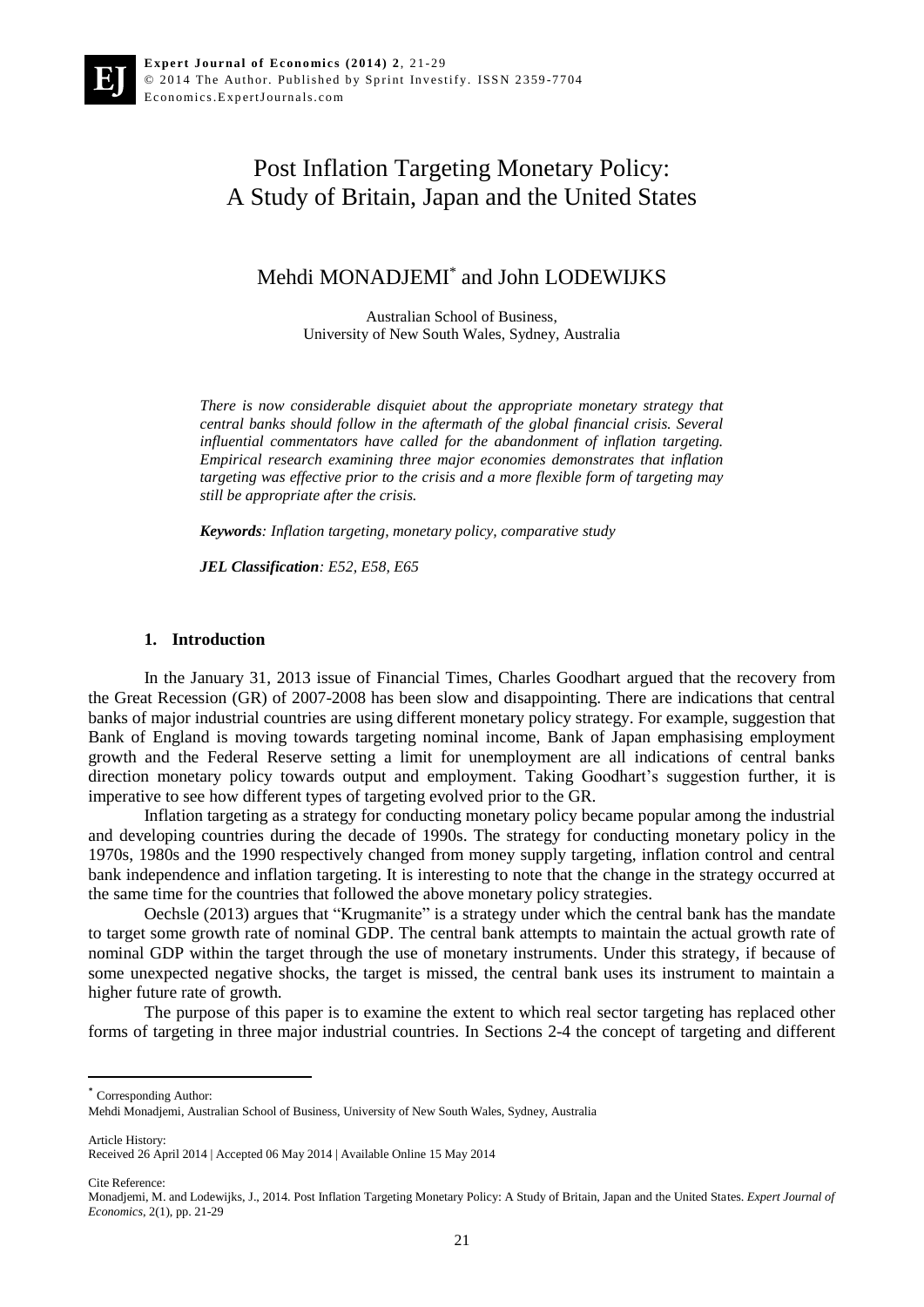# Post Inflation Targeting Monetary Policy: A Study of Britain, Japan and the United States

# Mehdi MONADJEMI\* and John LODEWIJKS

Australian School of Business, University of New South Wales, Sydney, Australia

*There is now considerable disquiet about the appropriate monetary strategy that central banks should follow in the aftermath of the global financial crisis. Several influential commentators have called for the abandonment of inflation targeting. Empirical research examining three major economies demonstrates that inflation targeting was effective prior to the crisis and a more flexible form of targeting may still be appropriate after the crisis.* 

*Keywords: Inflation targeting, monetary policy, comparative study*

*JEL Classification: E52, E58, E65*

#### **1. Introduction**

In the January 31, 2013 issue of Financial Times, Charles Goodhart argued that the recovery from the Great Recession (GR) of 2007-2008 has been slow and disappointing. There are indications that central banks of major industrial countries are using different monetary policy strategy. For example, suggestion that Bank of England is moving towards targeting nominal income, Bank of Japan emphasising employment growth and the Federal Reserve setting a limit for unemployment are all indications of central banks direction monetary policy towards output and employment. Taking Goodhart's suggestion further, it is imperative to see how different types of targeting evolved prior to the GR.

Inflation targeting as a strategy for conducting monetary policy became popular among the industrial and developing countries during the decade of 1990s. The strategy for conducting monetary policy in the 1970s, 1980s and the 1990 respectively changed from money supply targeting, inflation control and central bank independence and inflation targeting. It is interesting to note that the change in the strategy occurred at the same time for the countries that followed the above monetary policy strategies.

Oechsle (2013) argues that "Krugmanite" is a strategy under which the central bank has the mandate to target some growth rate of nominal GDP. The central bank attempts to maintain the actual growth rate of nominal GDP within the target through the use of monetary instruments. Under this strategy, if because of some unexpected negative shocks, the target is missed, the central bank uses its instrument to maintain a higher future rate of growth.

The purpose of this paper is to examine the extent to which real sector targeting has replaced other forms of targeting in three major industrial countries. In Sections 2-4 the concept of targeting and different

Received 26 April 2014 | Accepted 06 May 2014 | Available Online 15 May 2014

Cite Reference:

Article History:

 $\overline{a}$ 

<sup>\*</sup> Corresponding Author:

Mehdi Monadjemi, Australian School of Business, University of New South Wales, Sydney, Australia

Monadjemi, M. and Lodewijks, J., 2014. Post Inflation Targeting Monetary Policy: A Study of Britain, Japan and the United States. *Expert Journal of Economics*, 2(1), pp. 21-29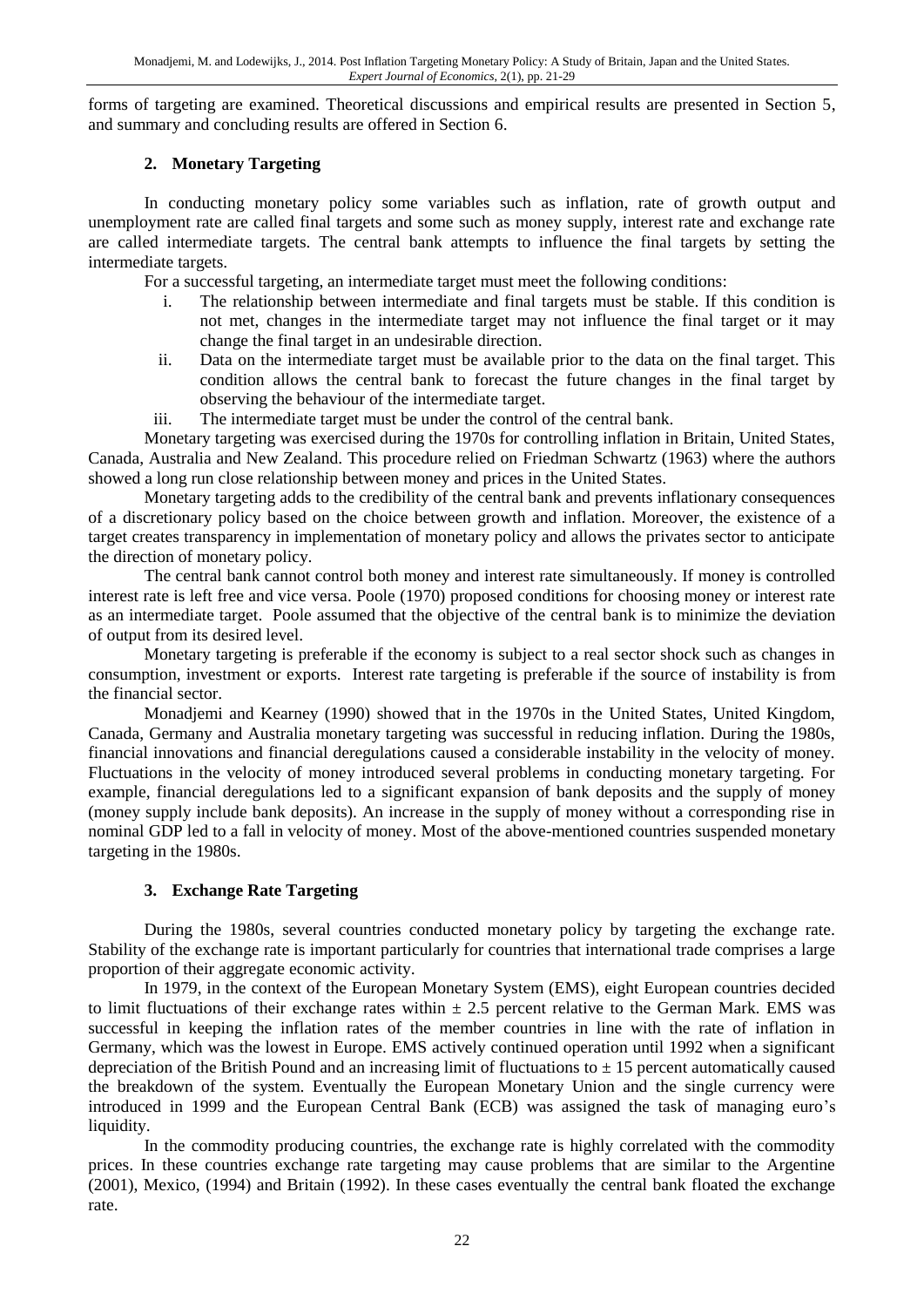forms of targeting are examined. Theoretical discussions and empirical results are presented in Section 5, and summary and concluding results are offered in Section 6.

#### **2. Monetary Targeting**

In conducting monetary policy some variables such as inflation, rate of growth output and unemployment rate are called final targets and some such as money supply, interest rate and exchange rate are called intermediate targets. The central bank attempts to influence the final targets by setting the intermediate targets.

For a successful targeting, an intermediate target must meet the following conditions:

- i. The relationship between intermediate and final targets must be stable. If this condition is not met, changes in the intermediate target may not influence the final target or it may change the final target in an undesirable direction.
- ii. Data on the intermediate target must be available prior to the data on the final target. This condition allows the central bank to forecast the future changes in the final target by observing the behaviour of the intermediate target.
- iii. The intermediate target must be under the control of the central bank.

Monetary targeting was exercised during the 1970s for controlling inflation in Britain, United States, Canada, Australia and New Zealand. This procedure relied on Friedman Schwartz (1963) where the authors showed a long run close relationship between money and prices in the United States.

Monetary targeting adds to the credibility of the central bank and prevents inflationary consequences of a discretionary policy based on the choice between growth and inflation. Moreover, the existence of a target creates transparency in implementation of monetary policy and allows the privates sector to anticipate the direction of monetary policy.

The central bank cannot control both money and interest rate simultaneously. If money is controlled interest rate is left free and vice versa. Poole (1970) proposed conditions for choosing money or interest rate as an intermediate target. Poole assumed that the objective of the central bank is to minimize the deviation of output from its desired level.

Monetary targeting is preferable if the economy is subject to a real sector shock such as changes in consumption, investment or exports. Interest rate targeting is preferable if the source of instability is from the financial sector.

Monadjemi and Kearney (1990) showed that in the 1970s in the United States, United Kingdom, Canada, Germany and Australia monetary targeting was successful in reducing inflation. During the 1980s, financial innovations and financial deregulations caused a considerable instability in the velocity of money. Fluctuations in the velocity of money introduced several problems in conducting monetary targeting. For example, financial deregulations led to a significant expansion of bank deposits and the supply of money (money supply include bank deposits). An increase in the supply of money without a corresponding rise in nominal GDP led to a fall in velocity of money. Most of the above-mentioned countries suspended monetary targeting in the 1980s.

#### **3. Exchange Rate Targeting**

During the 1980s, several countries conducted monetary policy by targeting the exchange rate. Stability of the exchange rate is important particularly for countries that international trade comprises a large proportion of their aggregate economic activity.

In 1979, in the context of the European Monetary System (EMS), eight European countries decided to limit fluctuations of their exchange rates within  $\pm$  2.5 percent relative to the German Mark. EMS was successful in keeping the inflation rates of the member countries in line with the rate of inflation in Germany, which was the lowest in Europe. EMS actively continued operation until 1992 when a significant depreciation of the British Pound and an increasing limit of fluctuations to  $\pm$  15 percent automatically caused the breakdown of the system. Eventually the European Monetary Union and the single currency were introduced in 1999 and the European Central Bank (ECB) was assigned the task of managing euro's liquidity.

In the commodity producing countries, the exchange rate is highly correlated with the commodity prices. In these countries exchange rate targeting may cause problems that are similar to the Argentine (2001), Mexico, (1994) and Britain (1992). In these cases eventually the central bank floated the exchange rate.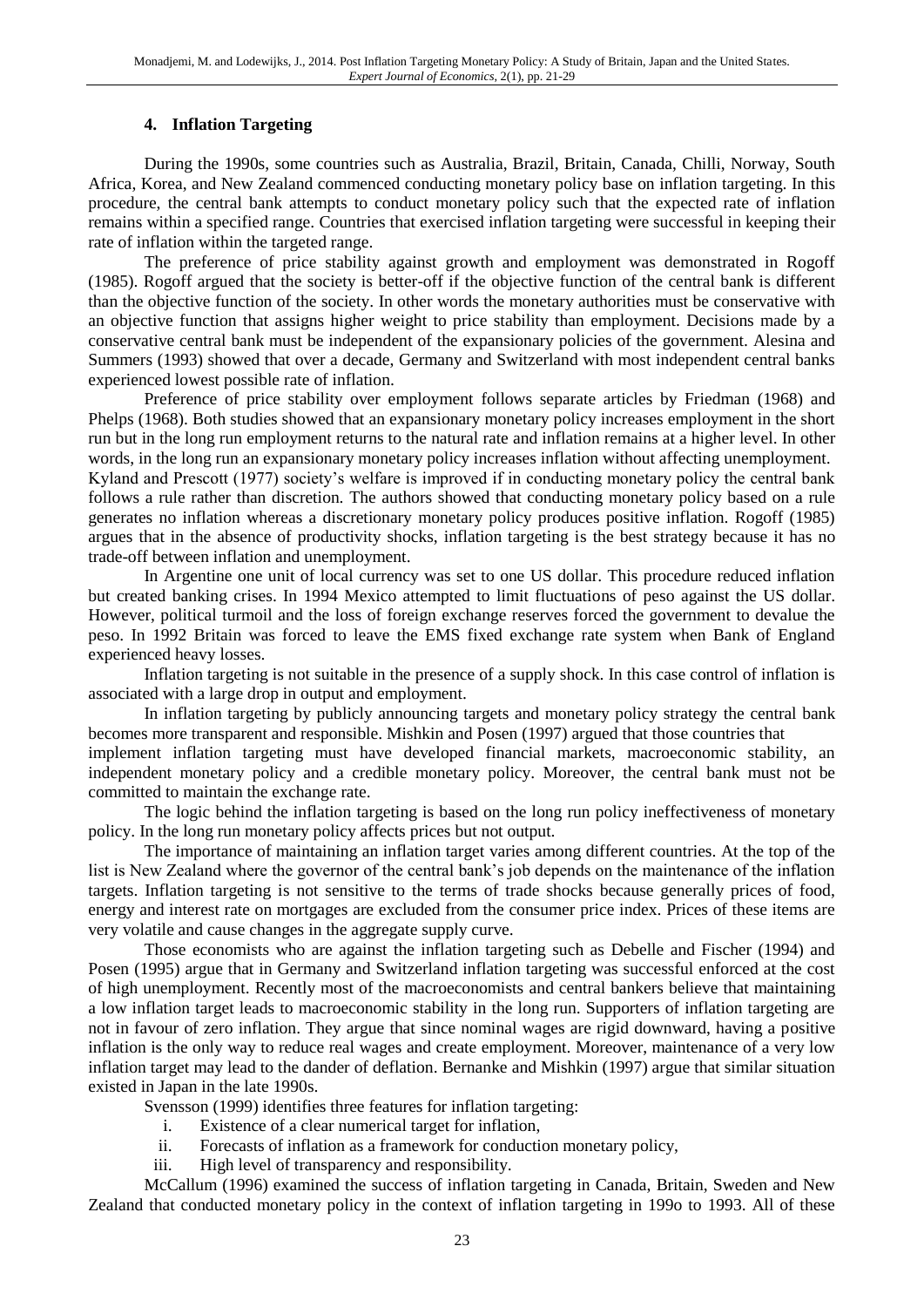## **4. Inflation Targeting**

During the 1990s, some countries such as Australia, Brazil, Britain, Canada, Chilli, Norway, South Africa, Korea, and New Zealand commenced conducting monetary policy base on inflation targeting. In this procedure, the central bank attempts to conduct monetary policy such that the expected rate of inflation remains within a specified range. Countries that exercised inflation targeting were successful in keeping their rate of inflation within the targeted range.

The preference of price stability against growth and employment was demonstrated in Rogoff (1985). Rogoff argued that the society is better-off if the objective function of the central bank is different than the objective function of the society. In other words the monetary authorities must be conservative with an objective function that assigns higher weight to price stability than employment. Decisions made by a conservative central bank must be independent of the expansionary policies of the government. Alesina and Summers (1993) showed that over a decade, Germany and Switzerland with most independent central banks experienced lowest possible rate of inflation.

Preference of price stability over employment follows separate articles by Friedman (1968) and Phelps (1968). Both studies showed that an expansionary monetary policy increases employment in the short run but in the long run employment returns to the natural rate and inflation remains at a higher level. In other words, in the long run an expansionary monetary policy increases inflation without affecting unemployment. Kyland and Prescott (1977) society's welfare is improved if in conducting monetary policy the central bank follows a rule rather than discretion. The authors showed that conducting monetary policy based on a rule generates no inflation whereas a discretionary monetary policy produces positive inflation. Rogoff (1985) argues that in the absence of productivity shocks, inflation targeting is the best strategy because it has no trade-off between inflation and unemployment.

In Argentine one unit of local currency was set to one US dollar. This procedure reduced inflation but created banking crises. In 1994 Mexico attempted to limit fluctuations of peso against the US dollar. However, political turmoil and the loss of foreign exchange reserves forced the government to devalue the peso. In 1992 Britain was forced to leave the EMS fixed exchange rate system when Bank of England experienced heavy losses.

Inflation targeting is not suitable in the presence of a supply shock. In this case control of inflation is associated with a large drop in output and employment.

In inflation targeting by publicly announcing targets and monetary policy strategy the central bank becomes more transparent and responsible. Mishkin and Posen (1997) argued that those countries that

implement inflation targeting must have developed financial markets, macroeconomic stability, an independent monetary policy and a credible monetary policy. Moreover, the central bank must not be committed to maintain the exchange rate.

The logic behind the inflation targeting is based on the long run policy ineffectiveness of monetary policy. In the long run monetary policy affects prices but not output.

The importance of maintaining an inflation target varies among different countries. At the top of the list is New Zealand where the governor of the central bank's job depends on the maintenance of the inflation targets. Inflation targeting is not sensitive to the terms of trade shocks because generally prices of food, energy and interest rate on mortgages are excluded from the consumer price index. Prices of these items are very volatile and cause changes in the aggregate supply curve.

Those economists who are against the inflation targeting such as Debelle and Fischer (1994) and Posen (1995) argue that in Germany and Switzerland inflation targeting was successful enforced at the cost of high unemployment. Recently most of the macroeconomists and central bankers believe that maintaining a low inflation target leads to macroeconomic stability in the long run. Supporters of inflation targeting are not in favour of zero inflation. They argue that since nominal wages are rigid downward, having a positive inflation is the only way to reduce real wages and create employment. Moreover, maintenance of a very low inflation target may lead to the dander of deflation. Bernanke and Mishkin (1997) argue that similar situation existed in Japan in the late 1990s.

Svensson (1999) identifies three features for inflation targeting:

- i. Existence of a clear numerical target for inflation,
- ii. Forecasts of inflation as a framework for conduction monetary policy,
- iii. High level of transparency and responsibility.

McCallum (1996) examined the success of inflation targeting in Canada, Britain, Sweden and New Zealand that conducted monetary policy in the context of inflation targeting in 199o to 1993. All of these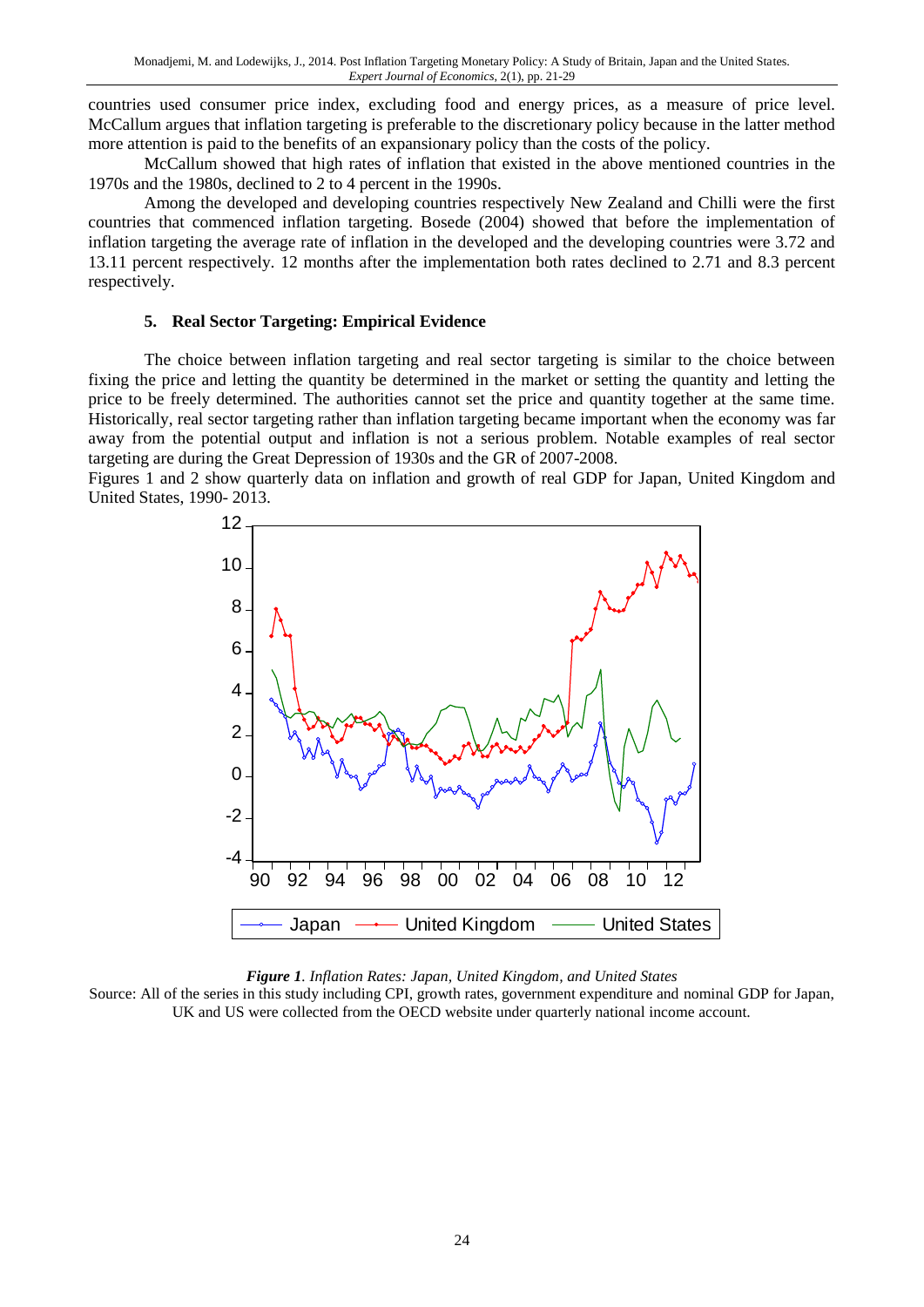countries used consumer price index, excluding food and energy prices, as a measure of price level. McCallum argues that inflation targeting is preferable to the discretionary policy because in the latter method more attention is paid to the benefits of an expansionary policy than the costs of the policy.

McCallum showed that high rates of inflation that existed in the above mentioned countries in the 1970s and the 1980s, declined to 2 to 4 percent in the 1990s.

Among the developed and developing countries respectively New Zealand and Chilli were the first countries that commenced inflation targeting. Bosede (2004) showed that before the implementation of inflation targeting the average rate of inflation in the developed and the developing countries were 3.72 and 13.11 percent respectively. 12 months after the implementation both rates declined to 2.71 and 8.3 percent respectively.

#### **5. Real Sector Targeting: Empirical Evidence**

The choice between inflation targeting and real sector targeting is similar to the choice between fixing the price and letting the quantity be determined in the market or setting the quantity and letting the price to be freely determined. The authorities cannot set the price and quantity together at the same time. Historically, real sector targeting rather than inflation targeting became important when the economy was far away from the potential output and inflation is not a serious problem. Notable examples of real sector targeting are during the Great Depression of 1930s and the GR of 2007-2008.

Figures 1 and 2 show quarterly data on inflation and growth of real GDP for Japan, United Kingdom and United States, 1990- 2013. 0-2013. Figure 1  $\frac{1}{2}$ 



*Figure 1. Inflation Rates: Japan, United Kingdom, and United States*

Source: All of the series in this study including CPI, growth rates, government expenditure and nominal GDP for Japan, UK and US were collected from the OECD website under quarterly national income account.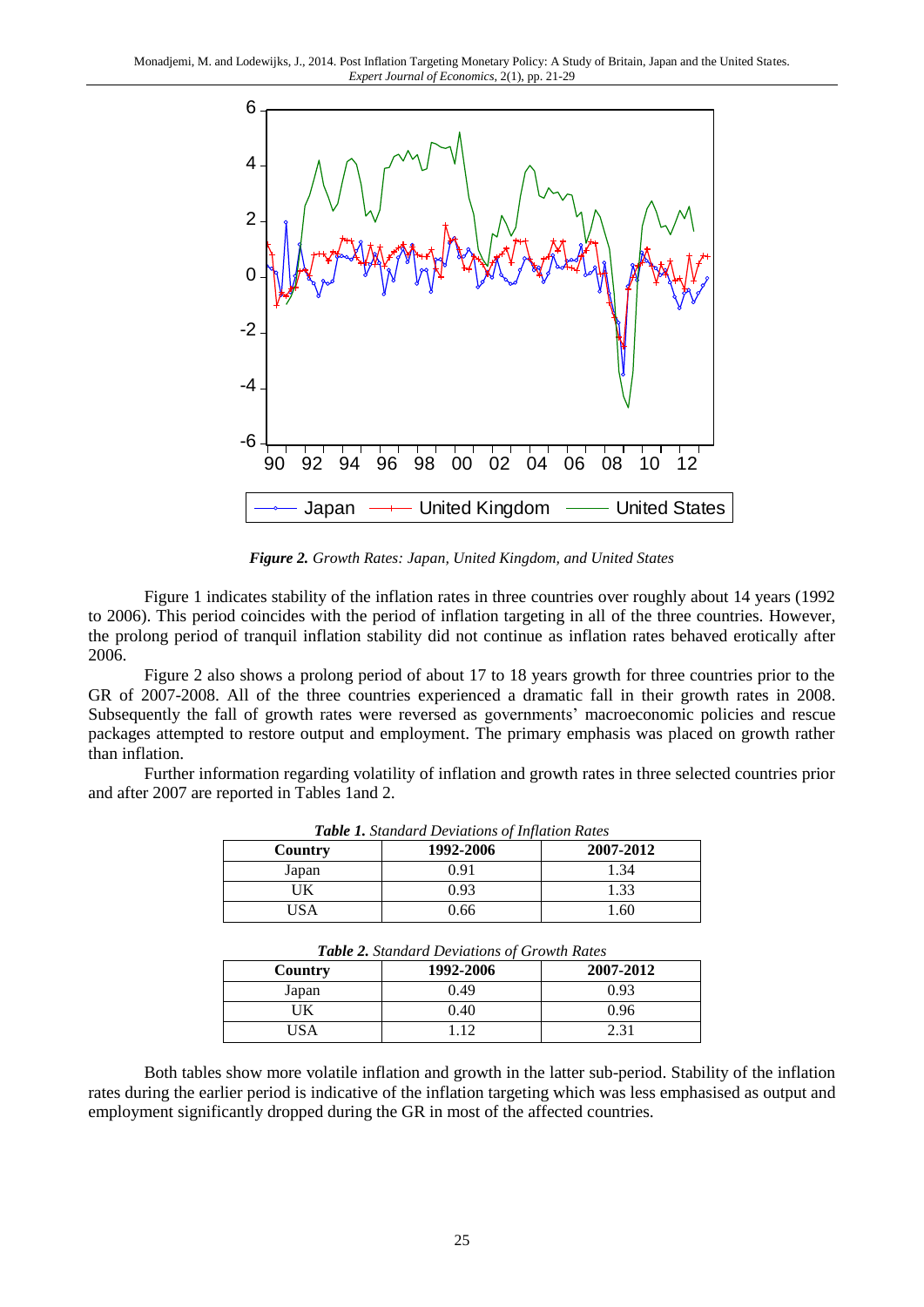

*Figure 2. Growth Rates: Japan, United Kingdom, and United States*

Figure 1 indicates stability of the inflation rates in three countries over roughly about 14 years (1992 to 2006). This period coincides with the period of inflation targeting in all of the three countries. However, the prolong period of tranquil inflation stability did not continue as inflation rates behaved erotically after 2006.

Figure 2 also shows a prolong period of about 17 to 18 years growth for three countries prior to the GR of 2007-2008. All of the three countries experienced a dramatic fall in their growth rates in 2008. Subsequently the fall of growth rates were reversed as governments' macroeconomic policies and rescue packages attempted to restore output and employment. The primary emphasis was placed on growth rather than inflation.

Further information regarding volatility of inflation and growth rates in three selected countries prior and after 2007 are reported in Tables 1and 2.

| <b>Table 1.</b> Standard Deviations of Inflation Rates |           |           |
|--------------------------------------------------------|-----------|-----------|
| Country                                                | 1992-2006 | 2007-2012 |
| Japan                                                  | 0.91      | 1.34      |
| UK                                                     | 0.93      | 1.33      |
| IS A                                                   | 0.66      | .60       |

| <b>Table 2.</b> Standard Deviations of Growth Rates |           |           |  |
|-----------------------------------------------------|-----------|-----------|--|
| Country                                             | 1992-2006 | 2007-2012 |  |
| Japan                                               | 0.49      | 0.93      |  |
| ΠK                                                  | 0.40      | 0.96      |  |
| USA                                                 | 112       | 2.31      |  |

Both tables show more volatile inflation and growth in the latter sub-period. Stability of the inflation rates during the earlier period is indicative of the inflation targeting which was less emphasised as output and employment significantly dropped during the GR in most of the affected countries.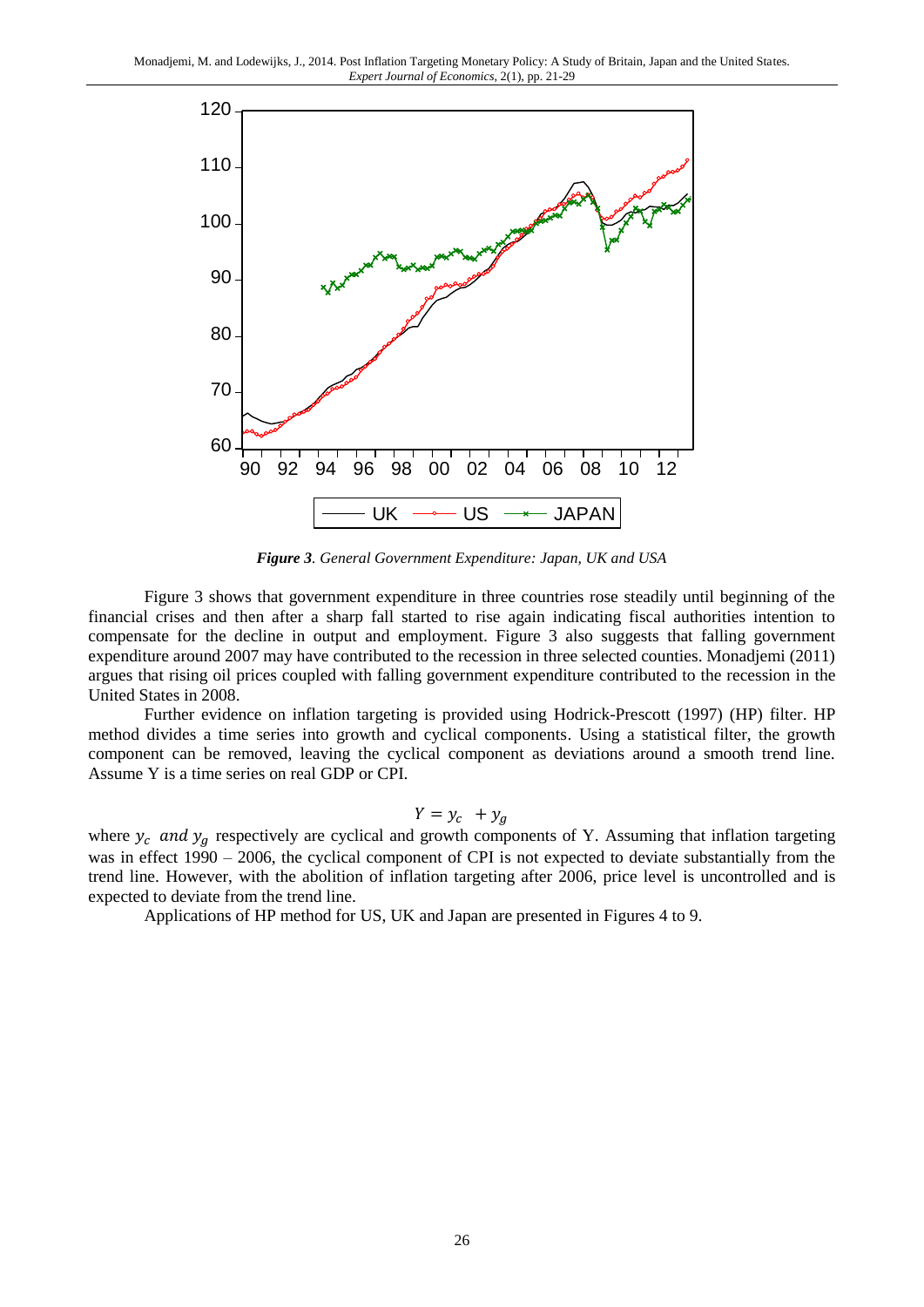

*Figure 3. General Government Expenditure: Japan, UK and USA*

Figure 3 shows that government expenditure in three countries rose steadily until beginning of the financial crises and then after a sharp fall started to rise again indicating fiscal authorities intention to compensate for the decline in output and employment. Figure 3 also suggests that falling government expenditure around 2007 may have contributed to the recession in three selected counties. Monadjemi (2011) argues that rising oil prices coupled with falling government expenditure contributed to the recession in the United States in 2008.

Further evidence on inflation targeting is provided using Hodrick-Prescott (1997) (HP) filter. HP method divides a time series into growth and cyclical components. Using a statistical filter, the growth component can be removed, leaving the cyclical component as deviations around a smooth trend line. Assume Y is a time series on real GDP or CPI.

$$
Y = y_c + y_g
$$

where  $y_c$  and  $y_g$  respectively are cyclical and growth components of Y. Assuming that inflation targeting was in effect 1990 – 2006, the cyclical component of CPI is not expected to deviate substantially from the trend line. However, with the abolition of inflation targeting after 2006, price level is uncontrolled and is expected to deviate from the trend line.

Applications of HP method for US, UK and Japan are presented in Figures 4 to 9.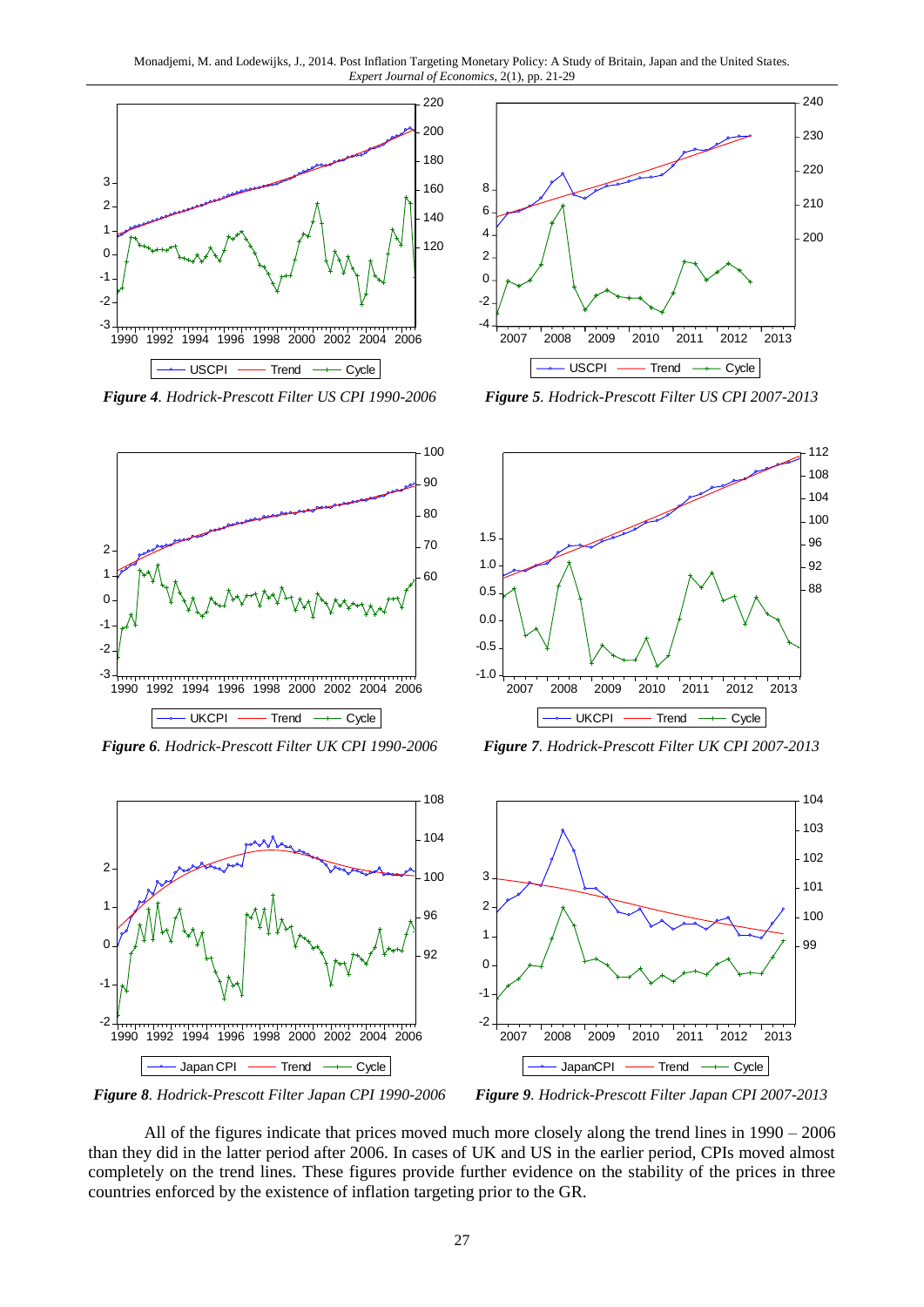



*Figure 6. Hodrick-Prescott Filter UK CPI 1990-2006 Figure 7. Hodrick-Prescott Filter UK CPI 2007-2013*



*Figure 4. Hodrick-Prescott Filter US CPI 1990-2006 Figure 5. Hodrick-Prescott Filter US CPI 2007-2013*





*Figure 8. Hodrick-Prescott Filter Japan CPI 1990-2006 Figure 9. Hodrick-Prescott Filter Japan CPI 2007-2013*

All of the figures indicate that prices moved much more closely along the trend lines in 1990 – 2006 than they did in the latter period after 2006. In cases of UK and US in the earlier period, CPIs moved almost completely on the trend lines. These figures provide further evidence on the stability of the prices in three countries enforced by the existence of inflation targeting prior to the GR.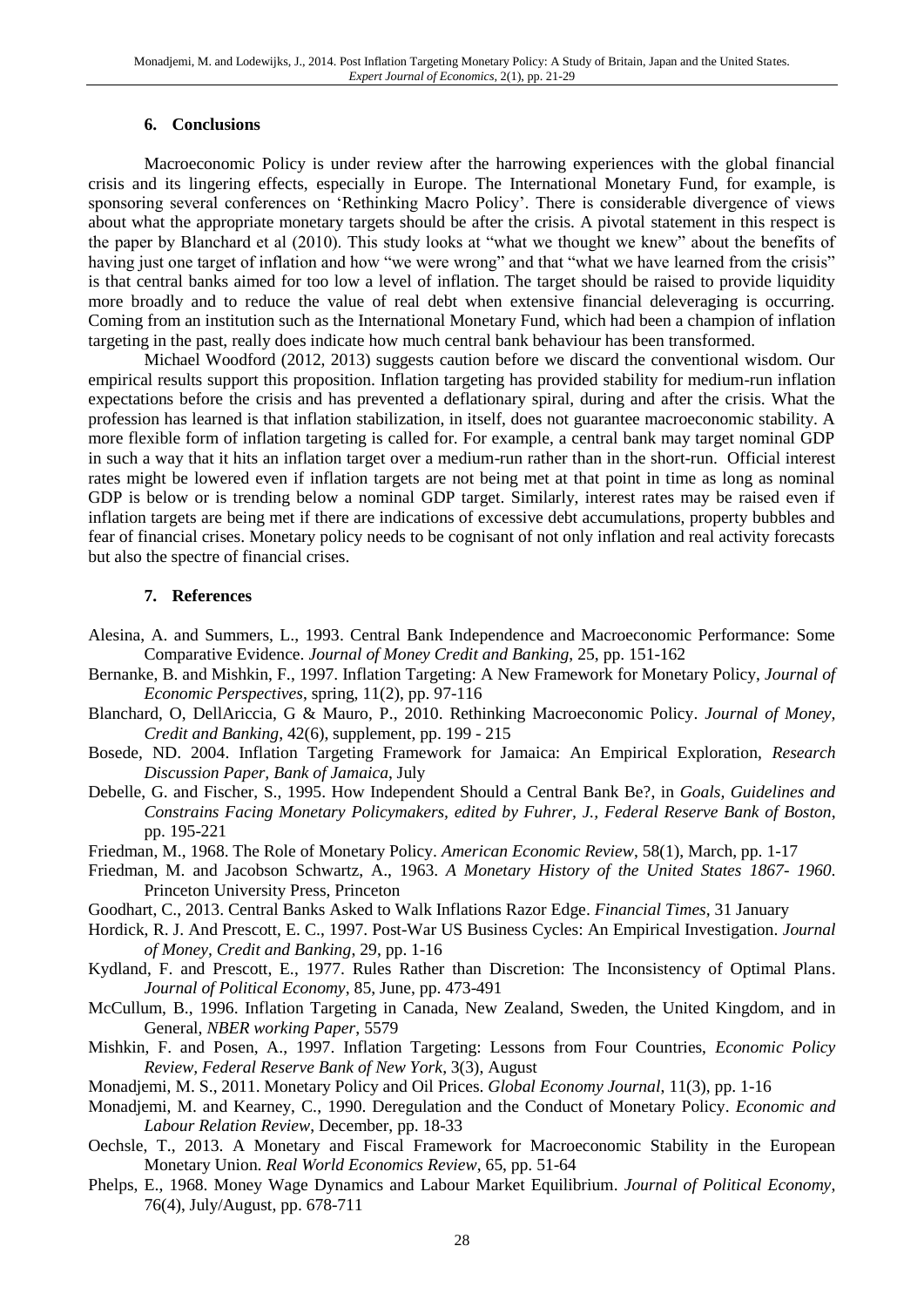## **6. Conclusions**

Macroeconomic Policy is under review after the harrowing experiences with the global financial crisis and its lingering effects, especially in Europe. The International Monetary Fund, for example, is sponsoring several conferences on 'Rethinking Macro Policy'. There is considerable divergence of views about what the appropriate monetary targets should be after the crisis. A pivotal statement in this respect is the paper by Blanchard et al (2010). This study looks at "what we thought we knew" about the benefits of having just one target of inflation and how "we were wrong" and that "what we have learned from the crisis" is that central banks aimed for too low a level of inflation. The target should be raised to provide liquidity more broadly and to reduce the value of real debt when extensive financial deleveraging is occurring. Coming from an institution such as the International Monetary Fund, which had been a champion of inflation targeting in the past, really does indicate how much central bank behaviour has been transformed.

Michael Woodford (2012, 2013) suggests caution before we discard the conventional wisdom. Our empirical results support this proposition. Inflation targeting has provided stability for medium-run inflation expectations before the crisis and has prevented a deflationary spiral, during and after the crisis. What the profession has learned is that inflation stabilization, in itself, does not guarantee macroeconomic stability. A more flexible form of inflation targeting is called for. For example, a central bank may target nominal GDP in such a way that it hits an inflation target over a medium-run rather than in the short-run. Official interest rates might be lowered even if inflation targets are not being met at that point in time as long as nominal GDP is below or is trending below a nominal GDP target. Similarly, interest rates may be raised even if inflation targets are being met if there are indications of excessive debt accumulations, property bubbles and fear of financial crises. Monetary policy needs to be cognisant of not only inflation and real activity forecasts but also the spectre of financial crises.

#### **7. References**

- Alesina, A. and Summers, L., 1993. Central Bank Independence and Macroeconomic Performance: Some Comparative Evidence. *Journal of Money Credit and Banking*, 25, pp. 151-162
- Bernanke, B. and Mishkin, F., 1997. Inflation Targeting: A New Framework for Monetary Policy, *Journal of Economic Perspectives*, spring, 11(2), pp. 97-116
- Blanchard, O, DellAriccia, G & Mauro, P., 2010. Rethinking Macroeconomic Policy. *Journal of Money, Credit and Banking*, 42(6), supplement, pp. 199 - 215
- Bosede, ND. 2004. Inflation Targeting Framework for Jamaica: An Empirical Exploration, *Research Discussion Paper, Bank of Jamaica*, July
- Debelle, G. and Fischer, S., 1995. How Independent Should a Central Bank Be?, in *Goals, Guidelines and Constrains Facing Monetary Policymakers, edited by Fuhrer, J., Federal Reserve Bank of Boston*, pp. 195-221
- Friedman, M., 1968. The Role of Monetary Policy. *American Economic Review*, 58(1), March, pp. 1-17
- Friedman, M. and Jacobson Schwartz, A., 1963. *A Monetary History of the United States 1867- 1960*. Princeton University Press, Princeton
- Goodhart, C., 2013. Central Banks Asked to Walk Inflations Razor Edge. *Financial Times,* 31 January
- Hordick, R. J. And Prescott, E. C., 1997. Post-War US Business Cycles: An Empirical Investigation. *Journal of Money, Credit and Banking*, 29, pp. 1-16
- Kydland, F. and Prescott, E., 1977. Rules Rather than Discretion: The Inconsistency of Optimal Plans. *Journal of Political Economy*, 85, June, pp. 473-491
- McCullum, B., 1996. Inflation Targeting in Canada, New Zealand, Sweden, the United Kingdom, and in General, *NBER working Paper*, 5579
- Mishkin, F. and Posen, A., 1997. Inflation Targeting: Lessons from Four Countries, *Economic Policy Review, Federal Reserve Bank of New York*, 3(3), August
- Monadjemi, M. S., 2011. Monetary Policy and Oil Prices. *Global Economy Journal*, 11(3), pp. 1-16
- Monadjemi, M. and Kearney, C., 1990. Deregulation and the Conduct of Monetary Policy. *Economic and Labour Relation Review*, December, pp. 18-33
- Oechsle, T., 2013. A Monetary and Fiscal Framework for Macroeconomic Stability in the European Monetary Union. *Real World Economics Review*, 65, pp. 51-64
- Phelps, E., 1968. Money Wage Dynamics and Labour Market Equilibrium. *Journal of Political Economy*, 76(4), July/August, pp. 678-711